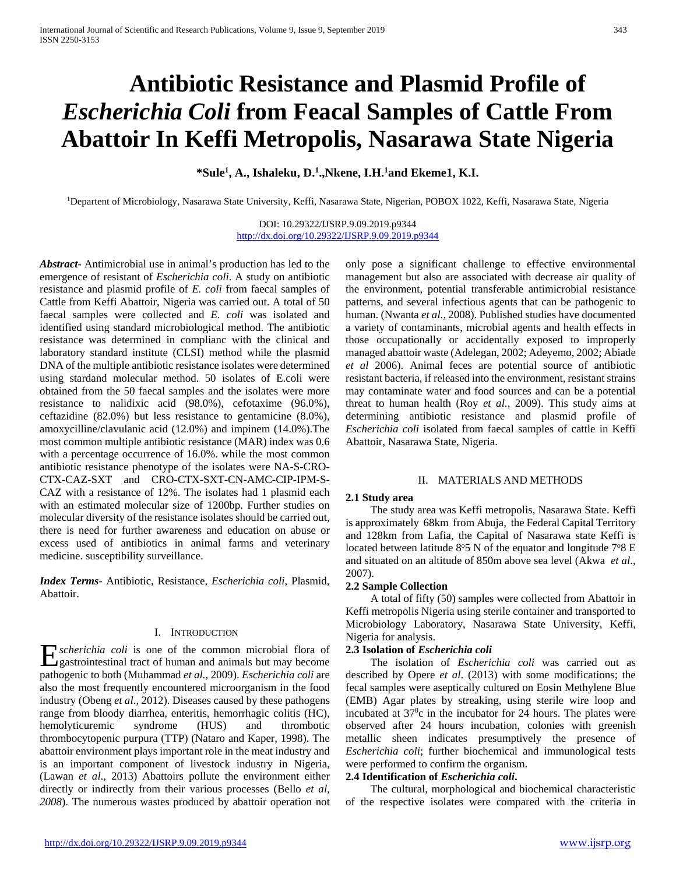# **Antibiotic Resistance and Plasmid Profile of**  *Escherichia Coli* **from Feacal Samples of Cattle From Abattoir In Keffi Metropolis, Nasarawa State Nigeria**

**\*Sule1 , A., Ishaleku, D.1 .,Nkene, I.H.1 and Ekeme1, K.I.**

1Departent of Microbiology, Nasarawa State University, Keffi, Nasarawa State, Nigerian, POBOX 1022, Keffi, Nasarawa State, Nigeria

DOI: 10.29322/IJSRP.9.09.2019.p9344 <http://dx.doi.org/10.29322/IJSRP.9.09.2019.p9344>

*Abstract***-** Antimicrobial use in animal's production has led to the emergence of resistant of *Escherichia coli*. A study on antibiotic resistance and plasmid profile of *E. coli* from faecal samples of Cattle from Keffi Abattoir, Nigeria was carried out. A total of 50 faecal samples were collected and *E. coli* was isolated and identified using standard microbiological method. The antibiotic resistance was determined in complianc with the clinical and laboratory standard institute (CLSI) method while the plasmid DNA of the multiple antibiotic resistance isolates were determined using stardand molecular method. 50 isolates of E.coli were obtained from the 50 faecal samples and the isolates were more resistance to nalidixic acid (98.0%), cefotaxime (96.0%), ceftazidine (82.0%) but less resistance to gentamicine (8.0%), amoxycilline/clavulanic acid (12.0%) and impinem (14.0%).The most common multiple antibiotic resistance (MAR) index was 0.6 with a percentage occurrence of 16.0%. while the most common antibiotic resistance phenotype of the isolates were NA-S-CRO-CTX-CAZ-SXT and CRO-CTX-SXT-CN-AMC-CIP-IPM-S-CAZ with a resistance of 12%. The isolates had 1 plasmid each with an estimated molecular size of 1200bp. Further studies on molecular diversity of the resistance isolates should be carried out, there is need for further awareness and education on abuse or excess used of antibiotics in animal farms and veterinary medicine. susceptibility surveillance.

*Index Terms*- Antibiotic, Resistance, *Escherichia coli*, Plasmid, Abattoir.

### I. INTRODUCTION

*scherichia coli* is one of the common microbial flora of  $\sum$ *scherichia coli* is one of the common microbial flora of gastrointestinal tract of human and animals but may become pathogenic to both (Muhammad *et al.,* 2009). *Escherichia coli* are also the most frequently encountered microorganism in the food industry (Obeng *et al*., 2012). Diseases caused by these pathogens range from bloody diarrhea, enteritis, hemorrhagic colitis (HC), hemolyticuremic syndrome (HUS) and thrombotic thrombocytopenic purpura (TTP) (Nataro and Kaper, 1998). The abattoir environment plays important role in the meat industry and is an important component of livestock industry in Nigeria, (Lawan *et al*., 2013) Abattoirs pollute the environment either directly or indirectly from their various processes (Bello *et al, 2008*). The numerous wastes produced by abattoir operation not

only pose a significant challenge to effective environmental management but also are associated with decrease air quality of the environment, potential transferable antimicrobial resistance patterns, and several infectious agents that can be pathogenic to human. (Nwanta *et al.,* 2008). Published studies have documented a variety of contaminants, microbial agents and health effects in those occupationally or accidentally exposed to improperly managed abattoir waste (Adelegan, 2002; Adeyemo, 2002; Abiade *et al* 2006). Animal feces are potential source of antibiotic resistant bacteria, if released into the environment, resistant strains may contaminate water and food sources and can be a potential threat to human health (Roy *et al*., 2009). This study aims at determining antibiotic resistance and plasmid profile of *Escherichia coli* isolated from faecal samples of cattle in Keffi Abattoir, Nasarawa State, Nigeria.

### II. MATERIALS AND METHODS

### **2.1 Study area**

 The study area was Keffi metropolis, Nasarawa State. Keffi is approximately 68km from Abuja, the Federal Capital Territory and 128km from Lafia, the Capital of Nasarawa state Keffi is located between latitude  $8°5$  N of the equator and longitude  $7°8$  E and situated on an altitude of 850m above sea level (Akwa *et al*., 2007).

### **2.2 Sample Collection**

 A total of fifty (50) samples were collected from Abattoir in Keffi metropolis Nigeria using sterile container and transported to Microbiology Laboratory, Nasarawa State University, Keffi, Nigeria for analysis.

### **2.3 Isolation of** *Escherichia coli*

 The isolation of *Escherichia coli* was carried out as described by Opere *et al*. (2013) with some modifications; the fecal samples were aseptically cultured on Eosin Methylene Blue (EMB) Agar plates by streaking, using sterile wire loop and incubated at  $37^\circ$ c in the incubator for 24 hours. The plates were observed after 24 hours incubation, colonies with greenish metallic sheen indicates presumptively the presence of *Escherichia coli*; further biochemical and immunological tests were performed to confirm the organism.

### **2.4 Identification of** *Escherichia coli***.**

 The cultural, morphological and biochemical characteristic of the respective isolates were compared with the criteria in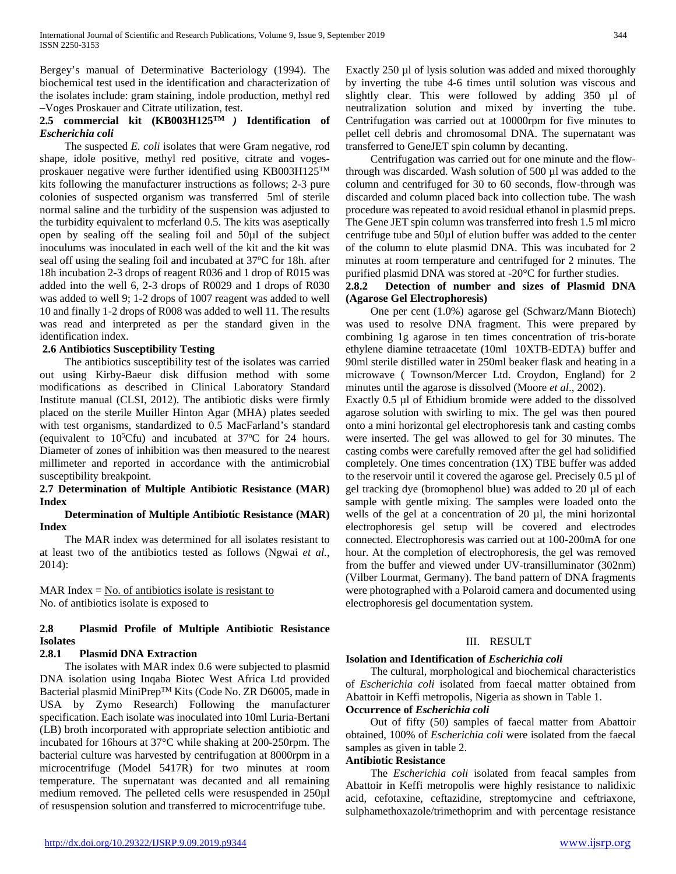Bergey's manual of Determinative Bacteriology (1994). The biochemical test used in the identification and characterization of the isolates include: gram staining, indole production, methyl red –Voges Proskauer and Citrate utilization, test.

### **2.5 commercial kit (KB003H125TM** *)* **Identification of**  *Escherichia coli*

 The suspected *E. coli* isolates that were Gram negative, rod shape, idole positive, methyl red positive, citrate and vogesproskauer negative were further identified using KB003H125TM kits following the manufacturer instructions as follows; 2-3 pure colonies of suspected organism was transferred 5ml of sterile normal saline and the turbidity of the suspension was adjusted to the turbidity equivalent to mcferland 0.5. The kits was aseptically open by sealing off the sealing foil and 50µl of the subject inoculums was inoculated in each well of the kit and the kit was seal off using the sealing foil and incubated at 37°C for 18h. after 18h incubation 2-3 drops of reagent R036 and 1 drop of R015 was added into the well 6, 2-3 drops of R0029 and 1 drops of R030 was added to well 9; 1-2 drops of 1007 reagent was added to well 10 and finally 1-2 drops of R008 was added to well 11. The results was read and interpreted as per the standard given in the identification index.

### **2.6 Antibiotics Susceptibility Testing**

 The antibiotics susceptibility test of the isolates was carried out using Kirby-Baeur disk diffusion method with some modifications as described in Clinical Laboratory Standard Institute manual (CLSI, 2012). The antibiotic disks were firmly placed on the sterile Muiller Hinton Agar (MHA) plates seeded with test organisms, standardized to 0.5 MacFarland's standard (equivalent to  $10^5$ Cfu) and incubated at  $37^{\circ}$ C for 24 hours. Diameter of zones of inhibition was then measured to the nearest millimeter and reported in accordance with the antimicrobial susceptibility breakpoint.

### **2.7 Determination of Multiple Antibiotic Resistance (MAR) Index**

### **Determination of Multiple Antibiotic Resistance (MAR) Index**

 The MAR index was determined for all isolates resistant to at least two of the antibiotics tested as follows (Ngwai *et al.*, 2014):

MAR Index  $=$  No. of antibiotics isolate is resistant to No. of antibiotics isolate is exposed to

### **2.8 Plasmid Profile of Multiple Antibiotic Resistance Isolates**

### **2.8.1 Plasmid DNA Extraction**

 The isolates with MAR index 0.6 were subjected to plasmid DNA isolation using Inqaba Biotec West Africa Ltd provided Bacterial plasmid MiniPrepTM Kits (Code No. ZR D6005, made in USA by Zymo Research) Following the manufacturer specification. Each isolate was inoculated into 10ml Luria-Bertani (LB) broth incorporated with appropriate selection antibiotic and incubated for 16hours at 37°C while shaking at 200-250rpm. The bacterial culture was harvested by centrifugation at 8000rpm in a microcentrifuge (Model 5417R) for two minutes at room temperature. The supernatant was decanted and all remaining medium removed. The pelleted cells were resuspended in 250µl of resuspension solution and transferred to microcentrifuge tube.

Exactly 250 µl of lysis solution was added and mixed thoroughly by inverting the tube 4-6 times until solution was viscous and slightly clear. This were followed by adding 350 µl of neutralization solution and mixed by inverting the tube. Centrifugation was carried out at 10000rpm for five minutes to pellet cell debris and chromosomal DNA. The supernatant was transferred to GeneJET spin column by decanting.

 Centrifugation was carried out for one minute and the flowthrough was discarded. Wash solution of 500 µl was added to the column and centrifuged for 30 to 60 seconds, flow-through was discarded and column placed back into collection tube. The wash procedure was repeated to avoid residual ethanol in plasmid preps. The Gene JET spin column was transferred into fresh 1.5 ml micro centrifuge tube and 50µl of elution buffer was added to the center of the column to elute plasmid DNA. This was incubated for 2 minutes at room temperature and centrifuged for 2 minutes. The purified plasmid DNA was stored at -20°C for further studies.

### **2.8.2 Detection of number and sizes of Plasmid DNA (Agarose Gel Electrophoresis)**

 One per cent (1.0%) agarose gel (Schwarz/Mann Biotech) was used to resolve DNA fragment. This were prepared by combining 1g agarose in ten times concentration of tris-borate ethylene diamine tetraacetate (10ml 10XTB-EDTA) buffer and 90ml sterile distilled water in 250ml beaker flask and heating in a microwave ( Townson/Mercer Ltd. Croydon, England) for 2 minutes until the agarose is dissolved (Moore *et al*., 2002).

Exactly 0.5 µl of Ethidium bromide were added to the dissolved agarose solution with swirling to mix. The gel was then poured onto a mini horizontal gel electrophoresis tank and casting combs were inserted. The gel was allowed to gel for 30 minutes. The casting combs were carefully removed after the gel had solidified completely. One times concentration (1X) TBE buffer was added to the reservoir until it covered the agarose gel. Precisely 0.5 µl of gel tracking dye (bromophenol blue) was added to 20 µl of each sample with gentle mixing. The samples were loaded onto the wells of the gel at a concentration of 20  $\mu$ l, the mini horizontal electrophoresis gel setup will be covered and electrodes connected. Electrophoresis was carried out at 100-200mA for one hour. At the completion of electrophoresis, the gel was removed from the buffer and viewed under UV-transilluminator (302nm) (Vilber Lourmat, Germany). The band pattern of DNA fragments were photographed with a Polaroid camera and documented using electrophoresis gel documentation system.

### III. RESULT

### **Isolation and Identification of** *Escherichia coli*

 The cultural, morphological and biochemical characteristics of *Escherichia coli* isolated from faecal matter obtained from Abattoir in Keffi metropolis, Nigeria as shown in Table 1. **Occurrence of** *Escherichia coli*

 Out of fifty (50) samples of faecal matter from Abattoir obtained, 100% of *Escherichia coli* were isolated from the faecal samples as given in table 2.

### **Antibiotic Resistance**

 The *Escherichia coli* isolated from feacal samples from Abattoir in Keffi metropolis were highly resistance to nalidixic acid, cefotaxine, ceftazidine, streptomycine and ceftriaxone, sulphamethoxazole/trimethoprim and with percentage resistance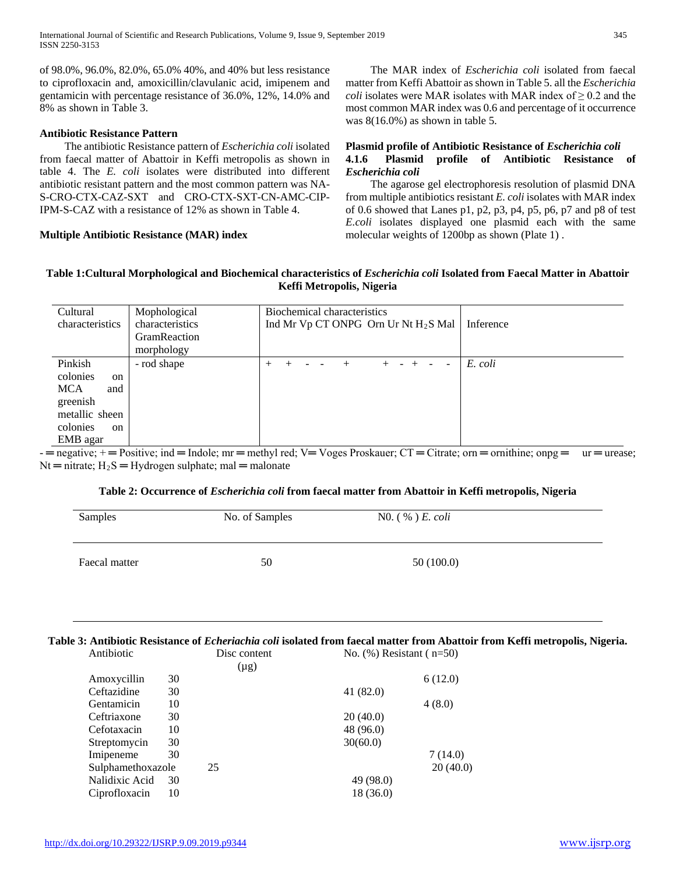of 98.0%, 96.0%, 82.0%, 65.0% 40%, and 40% but less resistance to ciprofloxacin and, amoxicillin/clavulanic acid, imipenem and gentamicin with percentage resistance of 36.0%, 12%, 14.0% and 8% as shown in Table 3.

### **Antibiotic Resistance Pattern**

 The antibiotic Resistance pattern of *Escherichia coli* isolated from faecal matter of Abattoir in Keffi metropolis as shown in table 4. The *E. coli* isolates were distributed into different antibiotic resistant pattern and the most common pattern was NA-S-CRO-CTX-CAZ-SXT and CRO-CTX-SXT-CN-AMC-CIP-IPM-S-CAZ with a resistance of 12% as shown in Table 4.

### **Multiple Antibiotic Resistance (MAR) index**

 The MAR index of *Escherichia coli* isolated from faecal matter from Keffi Abattoir as shown in Table 5. all the *Escherichia coli* isolates were MAR isolates with MAR index of  $\geq 0.2$  and the most common MAR index was 0.6 and percentage of it occurrence was 8(16.0%) as shown in table 5.

### **Plasmid profile of Antibiotic Resistance of** *Escherichia coli* **4.1.6 Plasmid profile of Antibiotic Resistance of**  *Escherichia coli*

 The agarose gel electrophoresis resolution of plasmid DNA from multiple antibiotics resistant *E. coli* isolates with MAR index of 0.6 showed that Lanes p1, p2, p3, p4, p5, p6, p7 and p8 of test *E.coli* isolates displayed one plasmid each with the same molecular weights of 1200bp as shown (Plate 1) .

### **Table 1:Cultural Morphological and Biochemical characteristics of** *Escherichia coli* **Isolated from Faecal Matter in Abattoir Keffi Metropolis, Nigeria**

| Cultural<br>characteristics                                                                                           | Mophological<br>characteristics<br>GramReaction<br>morphology | Biochemical characteristics<br>Ind Mr Vp CT ONPG Orn Ur Nt H <sub>2</sub> S Mal | Inference |
|-----------------------------------------------------------------------------------------------------------------------|---------------------------------------------------------------|---------------------------------------------------------------------------------|-----------|
| Pinkish<br>colonies<br>on<br><b>MCA</b><br>and<br>greenish<br>metallic sheen<br>colonies<br><sub>on</sub><br>EMB agar | - rod shape                                                   | $\overline{\phantom{a}}$                                                        | E. coli   |

-  $=$  negative;  $+$   $=$  Positive; ind  $=$  Indole; mr  $=$  methyl red; V $=$  Voges Proskauer; CT  $=$  Citrate; orn  $=$  ornithine; onpg  $=$  ur  $=$  urease;  $Nt = nitrate$ ;  $H_2S = Hydrogen$  sulphate; mal = malonate

### **Table 2: Occurrence of** *Escherichia coli* **from faecal matter from Abattoir in Keffi metropolis, Nigeria**

| Samples       | No. of Samples | NO. $(\% ) E.$ <i>coli</i> |
|---------------|----------------|----------------------------|
| Faecal matter | 50             | 50(100.0)                  |

### **Table 3: Antibiotic Resistance of** *Echeriachia coli* **isolated from faecal matter from Abattoir from Keffi metropolis, Nigeria.**

| Antibiotic |                   | No. $(\%)$ Resistant ( $n=50$ ) |          |
|------------|-------------------|---------------------------------|----------|
|            | $(\mu g)$         |                                 |          |
| 30         |                   |                                 | 6(12.0)  |
| 30         |                   | 41 (82.0)                       |          |
| 10         |                   |                                 | 4(8.0)   |
| 30         |                   | 20(40.0)                        |          |
| 10         |                   | 48 (96.0)                       |          |
| 30         |                   | 30(60.0)                        |          |
| 30         |                   |                                 | 7(14.0)  |
|            | 25                |                                 | 20(40.0) |
| 30         |                   | 49 (98.0)                       |          |
| 10         |                   | 18 (36.0)                       |          |
|            | Sulphamethoxazole | Disc content                    |          |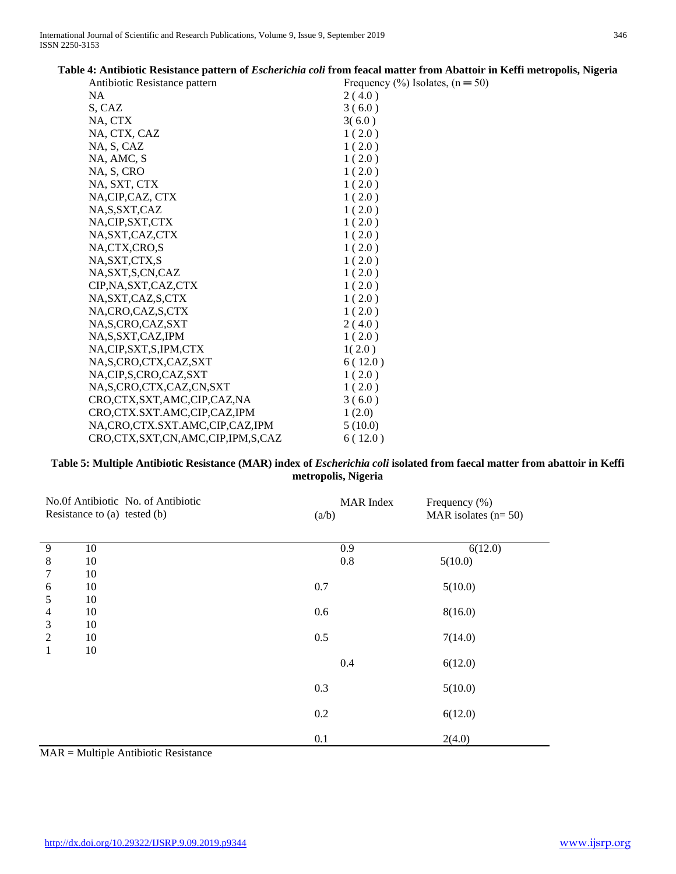|                                  | on +، Ammonic Resistance pattern of <i>Escherichi</i> a con from Icacal matter from Abatton in Reffi metro |
|----------------------------------|------------------------------------------------------------------------------------------------------------|
| Antibiotic Resistance pattern    | Frequency $(\% )$ Isolates, $(n = 50)$                                                                     |
| NA                               | 2(4.0)                                                                                                     |
| S, CAZ                           | 3(6.0)                                                                                                     |
| NA, CTX                          | 3(6.0)                                                                                                     |
| NA, CTX, CAZ                     | 1(2.0)                                                                                                     |
| NA, S, CAZ                       | 1(2.0)                                                                                                     |
| NA, AMC, S                       | 1(2.0)                                                                                                     |
| NA, S, CRO                       | 1(2.0)                                                                                                     |
| NA, SXT, CTX                     | 1(2.0)                                                                                                     |
| NA, CIP, CAZ, CTX                | 1(2.0)                                                                                                     |
| NA, S, SXT, CAZ                  | 1(2.0)                                                                                                     |
| NA, CIP, SXT, CTX                | 1(2.0)                                                                                                     |
| NA, SXT, CAZ, CTX                | 1(2.0)                                                                                                     |
| NA,CTX,CRO,S                     | 1(2.0)                                                                                                     |
| NA, SXT, CTX, S                  | 1(2.0)                                                                                                     |
| NA, SXT, S, CN, CAZ              | 1(2.0)                                                                                                     |
| CIP, NA, SXT, CAZ, CTX           | 1(2.0)                                                                                                     |
| NA, SXT, CAZ, S, CTX             | 1(2.0)                                                                                                     |
| NA,CRO,CAZ,S,CTX                 | 1(2.0)                                                                                                     |
| NA, S, CRO, CAZ, SXT             | 2(4.0)                                                                                                     |
| NA, S, SXT, CAZ, IPM             | 1(2.0)                                                                                                     |
| NA,CIP,SXT,S,IPM,CTX             | 1(2.0)                                                                                                     |
| NA, S, CRO, CTX, CAZ, SXT        | 6(12.0)                                                                                                    |
| NA,CIP,S,CRO,CAZ,SXT             | 1(2.0)                                                                                                     |
| NA, S, CRO, CTX, CAZ, CN, SXT    | 1(2.0)                                                                                                     |
| CRO,CTX,SXT,AMC,CIP,CAZ,NA       | 3(6.0)                                                                                                     |
| CRO,CTX.SXT.AMC,CIP,CAZ,IPM      | 1(2.0)                                                                                                     |
| NA,CRO,CTX.SXT.AMC,CIP,CAZ,IPM   | 5(10.0)                                                                                                    |
| CRO,CTX,SXT,CN,AMC,CIP,IPM,S,CAZ | 6(12.0)                                                                                                    |

## **Table 4: Antibiotic Resistance pattern of** *Escherichia coli* **from feacal matter from Abattoir in Keffi metropolis, Nigeria**

### **Table 5: Multiple Antibiotic Resistance (MAR) index of** *Escherichia coli* **isolated from faecal matter from abattoir in Keffi metropolis, Nigeria**

|                | No.0f Antibiotic No. of Antibiotic<br>Resistance to (a) tested (b) | (a/b) | <b>MAR</b> Index | Frequency (%)<br>MAR isolates $(n=50)$ |
|----------------|--------------------------------------------------------------------|-------|------------------|----------------------------------------|
| 9              | 10                                                                 |       | 0.9              | 6(12.0)                                |
| 8<br>7         | 10<br>10                                                           |       | 0.8              | 5(10.0)                                |
| 6              | 10                                                                 | 0.7   |                  | 5(10.0)                                |
| 5<br>4         | 10<br>10                                                           | 0.6   |                  | 8(16.0)                                |
| 3              | 10                                                                 |       |                  |                                        |
| $\overline{c}$ | 10                                                                 | 0.5   |                  | 7(14.0)                                |
| 1              | 10                                                                 |       | 0.4              | 6(12.0)                                |
|                |                                                                    | 0.3   |                  | 5(10.0)                                |
|                |                                                                    | 0.2   |                  | 6(12.0)                                |
|                |                                                                    | 0.1   |                  | 2(4.0)                                 |

MAR = Multiple Antibiotic Resistance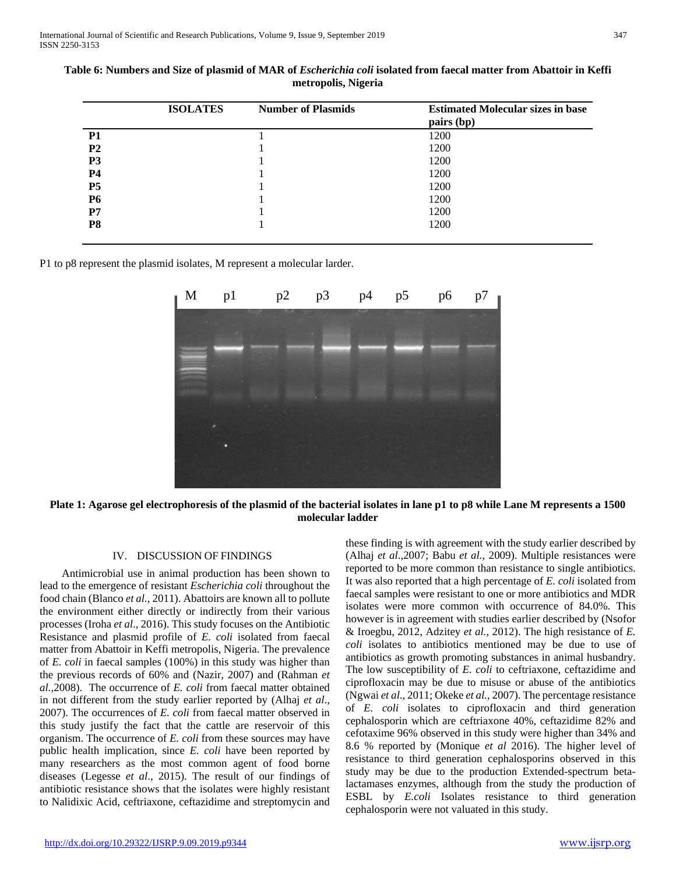|                | <b>ISOLATES</b> | <b>Number of Plasmids</b> | <b>Estimated Molecular sizes in base</b><br>pairs (bp) |
|----------------|-----------------|---------------------------|--------------------------------------------------------|
| <b>P1</b>      |                 |                           | 1200                                                   |
| P <sub>2</sub> |                 |                           | 1200                                                   |
| P <sub>3</sub> |                 |                           | 1200                                                   |
| <b>P4</b>      |                 |                           | 1200                                                   |
| <b>P5</b>      |                 |                           | 1200                                                   |
| <b>P6</b>      |                 |                           | 1200                                                   |
| P7             |                 |                           | 1200                                                   |
| P8             |                 |                           | 1200                                                   |

**Table 6: Numbers and Size of plasmid of MAR of** *Escherichia coli* **isolated from faecal matter from Abattoir in Keffi metropolis, Nigeria**

P1 to p8 represent the plasmid isolates, M represent a molecular larder.



**Plate 1: Agarose gel electrophoresis of the plasmid of the bacterial isolates in lane p1 to p8 while Lane M represents a 1500 molecular ladder**

### IV. DISCUSSION OF FINDINGS

 Antimicrobial use in animal production has been shown to lead to the emergence of resistant *Escherichia coli* throughout the food chain (Blanco *et al.,* 2011). Abattoirs are known all to pollute the environment either directly or indirectly from their various processes (Iroha *et al*., 2016). This study focuses on the Antibiotic Resistance and plasmid profile of *E. coli* isolated from faecal matter from Abattoir in Keffi metropolis, Nigeria. The prevalence of *E. coli* in faecal samples (100%) in this study was higher than the previous records of 60% and (Nazir, 2007) and (Rahman *et al.,*2008). The occurrence of *E. coli* from faecal matter obtained in not different from the study earlier reported by (Alhaj *et al*., 2007). The occurrences of *E. coli* from faecal matter observed in this study justify the fact that the cattle are reservoir of this organism. The occurrence of *E. coli* from these sources may have public health implication, since *E. coli* have been reported by many researchers as the most common agent of food borne diseases (Legesse *et al*., 2015). The result of our findings of antibiotic resistance shows that the isolates were highly resistant to Nalidixic Acid, ceftriaxone, ceftazidime and streptomycin and

these finding is with agreement with the study earlier described by (Alhaj *et al*.,2007; Babu *et al.,* 2009). Multiple resistances were reported to be more common than resistance to single antibiotics. It was also reported that a high percentage of *E. coli* isolated from faecal samples were resistant to one or more antibiotics and MDR isolates were more common with occurrence of 84.0%. This however is in agreement with studies earlier described by (Nsofor & Iroegbu, 2012, Adzitey *et al.,* 2012). The high resistance of *E. coli* isolates to antibiotics mentioned may be due to use of antibiotics as growth promoting substances in animal husbandry. The low susceptibility of *E. coli* to ceftriaxone, ceftazidime and ciprofloxacin may be due to misuse or abuse of the antibiotics (Ngwai *et al*., 2011; Okeke *et al.,* 2007). The percentage resistance of *E. coli* isolates to ciprofloxacin and third generation cephalosporin which are ceftriaxone 40%, ceftazidime 82% and cefotaxime 96% observed in this study were higher than 34% and 8.6 % reported by (Monique *et al* 2016). The higher level of resistance to third generation cephalosporins observed in this study may be due to the production Extended-spectrum betalactamases enzymes, although from the study the production of ESBL by *E.coli* Isolates resistance to third generation cephalosporin were not valuated in this study.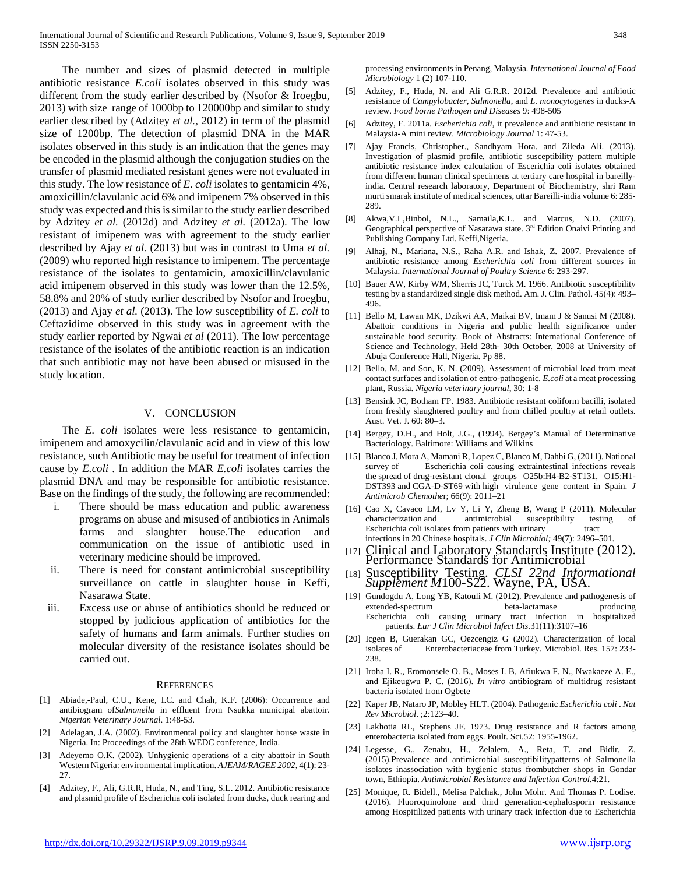The number and sizes of plasmid detected in multiple antibiotic resistance *E.coli* isolates observed in this study was different from the study earlier described by (Nsofor & Iroegbu, 2013) with size range of 1000bp to 120000bp and similar to study earlier described by (Adzitey *et al.,* 2012) in term of the plasmid size of 1200bp. The detection of plasmid DNA in the MAR isolates observed in this study is an indication that the genes may be encoded in the plasmid although the conjugation studies on the transfer of plasmid mediated resistant genes were not evaluated in this study. The low resistance of *E. coli* isolates to gentamicin 4%, amoxicillin/clavulanic acid 6% and imipenem 7% observed in this study was expected and this is similar to the study earlier described by Adzitey *et al.* (2012d) and Adzitey *et al.* (2012a). The low resistant of imipenem was with agreement to the study earlier described by Ajay *et al.* (2013) but was in contrast to Uma *et al.*  (2009) who reported high resistance to imipenem. The percentage resistance of the isolates to gentamicin, amoxicillin/clavulanic acid imipenem observed in this study was lower than the 12.5%, 58.8% and 20% of study earlier described by Nsofor and Iroegbu, (2013) and Ajay *et al.* (2013). The low susceptibility of *E. coli* to Ceftazidime observed in this study was in agreement with the study earlier reported by Ngwai *et al* (2011). The low percentage resistance of the isolates of the antibiotic reaction is an indication that such antibiotic may not have been abused or misused in the study location.

### V. CONCLUSION

 The *E. coli* isolates were less resistance to gentamicin, imipenem and amoxycilin/clavulanic acid and in view of this low resistance, such Antibiotic may be useful for treatment of infection cause by *E.coli* . In addition the MAR *E.coli* isolates carries the plasmid DNA and may be responsible for antibiotic resistance. Base on the findings of the study, the following are recommended:

- i. There should be mass education and public awareness programs on abuse and misused of antibiotics in Animals farms and slaughter house.The education and communication on the issue of antibiotic used in veterinary medicine should be improved.
- ii. There is need for constant antimicrobial susceptibility surveillance on cattle in slaughter house in Keffi, Nasarawa State.
- iii. Excess use or abuse of antibiotics should be reduced or stopped by judicious application of antibiotics for the safety of humans and farm animals. Further studies on molecular diversity of the resistance isolates should be carried out.

### **REFERENCES**

- [1] Abiade,-Paul, C.U., Kene, I.C. and Chah, K.F. (2006): Occurrence and antibiogram of*Salmonella* in effluent from Nsukka municipal abattoir. *Nigerian Veterinary Journal*. 1:48-53.
- Adelagan, J.A. (2002). Environmental policy and slaughter house waste in Nigeria. In: Proceedings of the 28th WEDC conference, India.
- [3] Adeyemo O.K. (2002). Unhygienic operations of a city abattoir in South Western Nigeria: environmental implication. *AJEAM/RAGEE 2002*, 4(1): 23- 27.
- [4] Adzitey, F., Ali, G.R.R, Huda, N., and Ting, S.L. 2012. Antibiotic resistance and plasmid profile of Escherichia coli isolated from ducks, duck rearing and

processing environments in Penang, Malaysia*. International Journal of Food Microbiology* 1 (2) 107-110.

- [5] Adzitey, F., Huda, N. and Ali G.R.R. 2012d. Prevalence and antibiotic resistance of *Campylobacter*, *Salmonella*, and *L. monocytogenes* in ducks-A review. *Food borne Pathogen and Diseases* 9: 498-505
- [6] Adzitey, F. 2011a. *Escherichia coli*, it prevalence and antibiotic resistant in Malaysia-A mini review. *Microbiology Journal* 1: 47-53.
- [7] Ajay Francis, Christopher., Sandhyam Hora. and Zileda Ali. (2013). Investigation of plasmid profile, antibiotic susceptibility pattern multiple antibiotic resistance index calculation of Escerichia coli isolates obtained from different human clinical specimens at tertiary care hospital in bareillyindia. Central research laboratory, Department of Biochemistry, shri Ram murti smarak institute of medical sciences, uttar Bareilli-india volume 6: 285- 289.
- [8] Akwa,V.L,Binbol, N.L., Samaila,K.L. and Marcus, N.D. (2007). Geographical perspective of Nasarawa state. 3rd Edition Onaivi Printing and Publishing Company Ltd. Keffi,Nigeria.
- [9] Alhaj, N., Mariana, N.S., Raha A.R. and Ishak, Z. 2007. Prevalence of antibiotic resistance among *Escherichia coli* from different sources in Malaysia. *International Journal of Poultry Science* 6: 293-297.
- [10] Bauer AW, Kirby WM, Sherris JC, Turck M. 1966. Antibiotic susceptibility testing by a standardized single disk method. Am. J. Clin. Pathol. 45(4): 493– 496.
- [11] Bello M, Lawan MK, Dzikwi AA, Maikai BV, Imam J & Sanusi M (2008). Abattoir conditions in Nigeria and public health significance under sustainable food security. Book of Abstracts: International Conference of Science and Technology, Held 28th- 30th October, 2008 at University of Abuja Conference Hall, Nigeria. Pp 88.
- [12] Bello, M. and Son, K. N. (2009). Assessment of microbial load from meat contact surfaces and isolation of entro-pathogenic*. E.coli* at a meat processing plant, Russia. *Nigeria veterinary journal*, 30: 1-8
- [13] Bensink JC, Botham FP. 1983. Antibiotic resistant coliform bacilli, isolated from freshly slaughtered poultry and from chilled poultry at retail outlets. Aust. Vet. J. 60: 80–3.
- [14] Bergey, D.H., and Holt, J.G., (1994). Bergey's Manual of Determinative Bacteriology. Baltimore: Williams and Wilkins
- [15] Blanco J, Mora A, Mamani R, Lopez C, Blanco M, Dahbi G, (2011). National Escherichia coli causing extraintestinal infections reveals the spread of drug-resistant clonal groups O25b:H4-B2-ST131, O15:H1- DST393 and CGA-D-ST69 with high virulence gene content in Spain. *J Antimicrob Chemothe*r; 66(9): 2011–21
- [16] Cao X, Cavaco LM, Lv Y, Li Y, Zheng B, Wang P (2011). Molecular characterization and antimicrobial susceptibility testing of Escherichia coli isolates from patients with urinary tract infections in 20 Chinese hospitals. *J Clin Microbiol;* 49(7): 2496–501.
- [17] Clinical and Laboratory Standards Institute (2012). Performance Standards for Antimicrobial
- [18] Susceptibility Testing. *CLSI 22nd Informational Supplement M*100-S22. Wayne, PA, USA.
- [19] Gundogdu A, Long YB, Katouli M. (2012). Prevalence and pathogenesis of extended-spectrum Escherichia coli causing urinary tract infection in hospitalized patients. *Eur J Clin Microbiol Infect Dis.*31(11):3107–16
- [20] Icgen B, Guerakan GC, Oezcengiz G (2002). Characterization of local isolates of Enterobacteriaceae from Turkey. Microbiol. Res. 157: 233- 238.
- [21] Iroha I. R., Eromonsele O. B., Moses I. B, Afiukwa F. N., Nwakaeze A. E., and Ejikeugwu P. C. (2016). *In vitro* antibiogram of multidrug resistant bacteria isolated from Ogbete
- [22] Kaper JB, Nataro JP, Mobley HLT. (2004). Pathogenic *Escherichia coli* . *Nat Rev Microbiol*. ;2:123–40.
- [23] Lakhotia RL, Stephens JF. 1973. Drug resistance and R factors among enterobacteria isolated from eggs. Poult. Sci.52: 1955-1962.
- [24] Legesse, G., Zenabu, H., Zelalem, A., Reta, T. and Bidir, Z. (2015).Prevalence and antimicrobial susceptibilitypatterns of Salmonella isolates inassociation with hygienic status frombutcher shops in Gondar town, Ethiopia. *Antimicrobial Resistance and Infection Control*.4:21.
- [25] Monique, R. Bidell., Melisa Palchak., John Mohr. And Thomas P. Lodise. (2016). Fluoroquinolone and third generation-cephalosporin resistance among Hospitilized patients with urinary track infection due to Escherichia